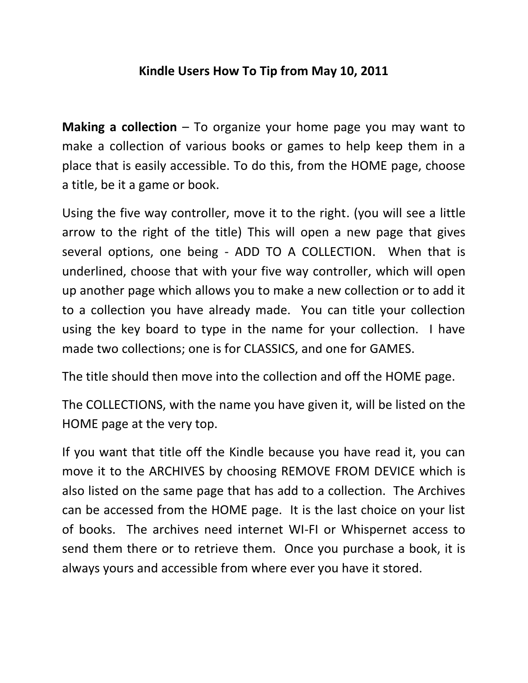## **Kindle Users How To Tip from May 10, 2011**

**Making a collection** – To organize your home page you may want to make a collection of various books or games to help keep them in a place that is easily accessible. To do this, from the HOME page, choose a title, be it a game or book.

Using the five way controller, move it to the right. (you will see a little arrow to the right of the title) This will open a new page that gives several options, one being - ADD TO A COLLECTION. When that is underlined, choose that with your five way controller, which will open up another page which allows you to make a new collection or to add it to a collection you have already made. You can title your collection using the key board to type in the name for your collection. I have made two collections; one is for CLASSICS, and one for GAMES.

The title should then move into the collection and off the HOME page.

The COLLECTIONS, with the name you have given it, will be listed on the HOME page at the very top.

If you want that title off the Kindle because you have read it, you can move it to the ARCHIVES by choosing REMOVE FROM DEVICE which is also listed on the same page that has add to a collection. The Archives can be accessed from the HOME page. It is the last choice on your list of books. The archives need internet WI-FI or Whispernet access to send them there or to retrieve them. Once you purchase a book, it is always yours and accessible from where ever you have it stored.